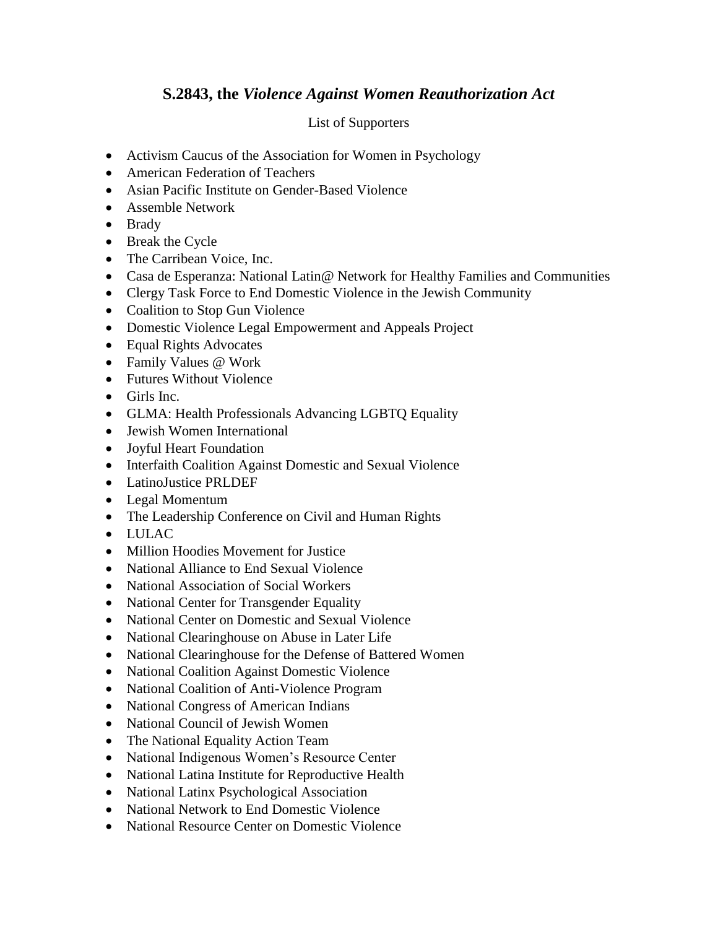## **S.2843, the** *Violence Against Women Reauthorization Act*

## List of Supporters

- Activism Caucus of the Association for Women in Psychology
- American Federation of Teachers
- Asian Pacific Institute on Gender-Based Violence
- Assemble Network
- Brady
- Break the Cycle
- The Carribean Voice, Inc.
- Casa de Esperanza: National Latin@ Network for Healthy Families and Communities
- Clergy Task Force to End Domestic Violence in the Jewish Community
- Coalition to Stop Gun Violence
- Domestic Violence Legal Empowerment and Appeals Project
- Equal Rights Advocates
- Family Values @ Work
- Futures Without Violence
- $\bullet$  Girls Inc.
- GLMA: Health Professionals Advancing LGBTQ Equality
- Jewish Women International
- Joyful Heart Foundation
- Interfaith Coalition Against Domestic and Sexual Violence
- LatinoJustice PRLDEF
- Legal Momentum
- The Leadership Conference on Civil and Human Rights
- LULAC
- Million Hoodies Movement for Justice
- National Alliance to End Sexual Violence
- National Association of Social Workers
- National Center for Transgender Equality
- National Center on Domestic and Sexual Violence
- National Clearinghouse on Abuse in Later Life
- National Clearinghouse for the Defense of Battered Women
- National Coalition Against Domestic Violence
- National Coalition of Anti-Violence Program
- National Congress of American Indians
- National Council of Jewish Women
- The National Equality Action Team
- National Indigenous Women's Resource Center
- National Latina Institute for Reproductive Health
- National Latinx Psychological Association
- National Network to End Domestic Violence
- National Resource Center on Domestic Violence